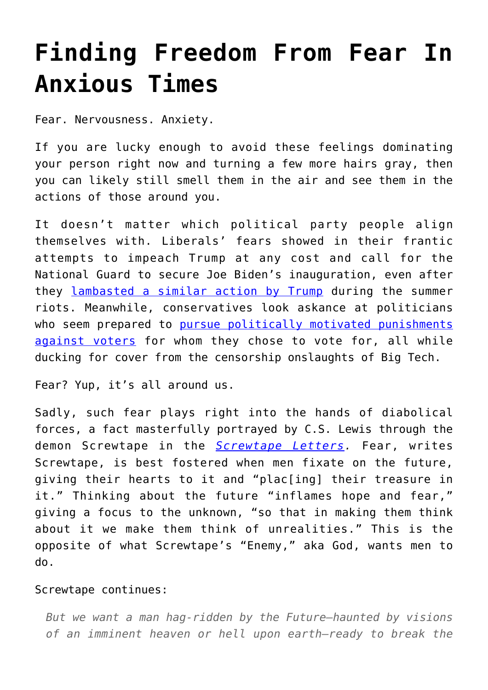## **[Finding Freedom From Fear In](https://intellectualtakeout.org/2021/01/finding-freedom-from-fear-in-anxious-times/) [Anxious Times](https://intellectualtakeout.org/2021/01/finding-freedom-from-fear-in-anxious-times/)**

Fear. Nervousness. Anxiety.

If you are lucky enough to avoid these feelings dominating your person right now and turning a few more hairs gray, then you can likely still smell them in the air and see them in the actions of those around you.

It doesn't matter which political party people align themselves with. Liberals' fears showed in their frantic attempts to impeach Trump at any cost and call for the National Guard to secure Joe Biden's inauguration, even after they [lambasted a similar action by Trump](https://www.politico.com/news/2020/06/02/trump-protests-military-force-296368) during the summer riots. Meanwhile, conservatives look askance at politicians who seem prepared to [pursue politically motivated punishments](https://twitter.com/AOC/status/1324807776510595078) [against voters](https://twitter.com/AOC/status/1324807776510595078) for whom they chose to vote for, all while ducking for cover from the censorship onslaughts of Big Tech.

Fear? Yup, it's all around us.

Sadly, such fear plays right into the hands of diabolical forces, a fact masterfully portrayed by C.S. Lewis through the demon Screwtape in the **Screwtape Letters**. Fear, writes Screwtape, is best fostered when men fixate on the future, giving their hearts to it and "plac[ing] their treasure in it." Thinking about the future "inflames hope and fear," giving a focus to the unknown, "so that in making them think about it we make them think of unrealities." This is the opposite of what Screwtape's "Enemy," aka God, wants men to do.

## Screwtape continues:

*But we want a man hag-ridden by the Future—haunted by visions of an imminent heaven or hell upon earth—ready to break the*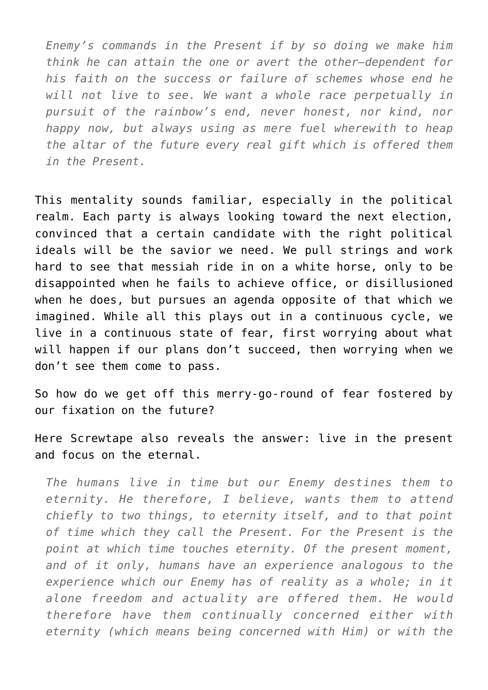*Enemy's commands in the Present if by so doing we make him think he can attain the one or avert the other—dependent for his faith on the success or failure of schemes whose end he will not live to see. We want a whole race perpetually in pursuit of the rainbow's end, never honest, nor kind, nor happy now, but always using as mere fuel wherewith to heap the altar of the future every real gift which is offered them in the Present.*

This mentality sounds familiar, especially in the political realm. Each party is always looking toward the next election, convinced that a certain candidate with the right political ideals will be the savior we need. We pull strings and work hard to see that messiah ride in on a white horse, only to be disappointed when he fails to achieve office, or disillusioned when he does, but pursues an agenda opposite of that which we imagined. While all this plays out in a continuous cycle, we live in a continuous state of fear, first worrying about what will happen if our plans don't succeed, then worrying when we don't see them come to pass.

So how do we get off this merry-go-round of fear fostered by our fixation on the future?

Here Screwtape also reveals the answer: live in the present and focus on the eternal.

*The humans live in time but our Enemy destines them to eternity. He therefore, I believe, wants them to attend chiefly to two things, to eternity itself, and to that point of time which they call the Present. For the Present is the point at which time touches eternity. Of the present moment, and of it only, humans have an experience analogous to the experience which our Enemy has of reality as a whole; in it alone freedom and actuality are offered them. He would therefore have them continually concerned either with eternity (which means being concerned with Him) or with the*